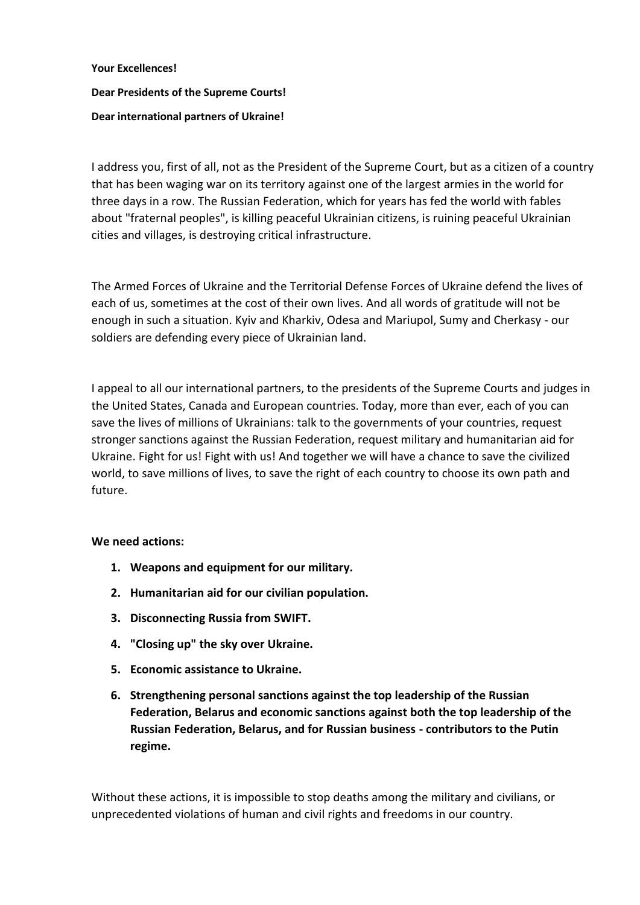## **Your Excellences!**

## **Dear Presidents of the Supreme Courts!**

## **Dear international partners of Ukraine!**

I address you, first of all, not as the President of the Supreme Court, but as a citizen of a country that has been waging war on its territory against one of the largest armies in the world for three days in a row. The Russian Federation, which for years has fed the world with fables about "fraternal peoples", is killing peaceful Ukrainian citizens, is ruining peaceful Ukrainian cities and villages, is destroying critical infrastructure.

The Armed Forces of Ukraine and the Territorial Defense Forces of Ukraine defend the lives of each of us, sometimes at the cost of their own lives. And all words of gratitude will not be enough in such a situation. Kyiv and Kharkiv, Odesa and Mariupol, Sumy and Cherkasy - our soldiers are defending every piece of Ukrainian land.

I appeal to all our international partners, to the presidents of the Supreme Courts and judges in the United States, Canada and European countries. Today, more than ever, each of you can save the lives of millions of Ukrainians: talk to the governments of your countries, request stronger sanctions against the Russian Federation, request military and humanitarian aid for Ukraine. Fight for us! Fight with us! And together we will have a chance to save the civilized world, to save millions of lives, to save the right of each country to choose its own path and future.

## **We need actions:**

- **1. Weapons and equipment for our military.**
- **2. Humanitarian aid for our civilian population.**
- **3. Disconnecting Russia from SWIFT.**
- **4. "Closing up" the sky over Ukraine.**
- **5. Economic assistance to Ukraine.**
- **6. Strengthening personal sanctions against the top leadership of the Russian Federation, Belarus and economic sanctions against both the top leadership of the Russian Federation, Belarus, and for Russian business - contributors to the Putin regime.**

Without these actions, it is impossible to stop deaths among the military and civilians, or unprecedented violations of human and civil rights and freedoms in our country.